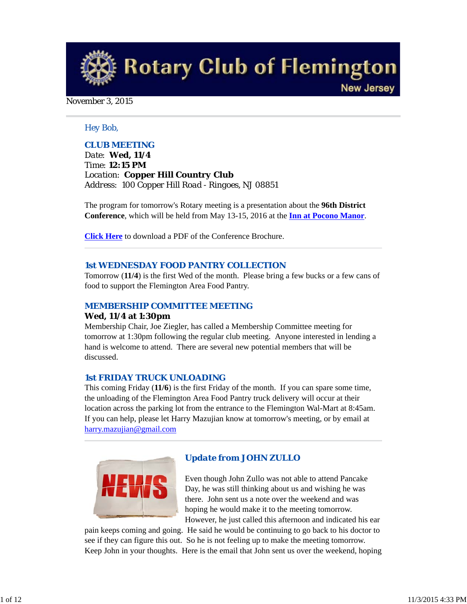**Rotary Club of Flemington New Jersey** 

#### November 3, 2015

#### *Hey Bob,*

#### *CLUB MEETING*

*Date: Wed, 11/4 Time: 12:15 PM Location: Copper Hill Country Club Address: 100 Copper Hill Road - Ringoes, NJ 08851*

The program for tomorrow's Rotary meeting is a presentation about the **96th District Conference**, which will be held from May 13-15, 2016 at the **Inn at Pocono Manor**.

**Click Here** to download a PDF of the Conference Brochure.

#### *1st WEDNESDAY FOOD PANTRY COLLECTION*

Tomorrow (**11/4**) is the first Wed of the month. Please bring a few bucks or a few cans of food to support the Flemington Area Food Pantry.

#### *MEMBERSHIP COMMITTEE MEETING*

#### **Wed, 11/4 at 1:30pm**

Membership Chair, Joe Ziegler, has called a Membership Committee meeting for tomorrow at 1:30pm following the regular club meeting. Anyone interested in lending a hand is welcome to attend. There are several new potential members that will be discussed.

#### *1st FRIDAY TRUCK UNLOADING*

This coming Friday (**11/6**) is the first Friday of the month. If you can spare some time, the unloading of the Flemington Area Food Pantry truck delivery will occur at their location across the parking lot from the entrance to the Flemington Wal-Mart at 8:45am. If you can help, please let Harry Mazujian know at tomorrow's meeting, or by email at harry.mazujian@gmail.com



#### *Update from JOHN ZULLO*

Even though John Zullo was not able to attend Pancake Day, he was still thinking about us and wishing he was there. John sent us a note over the weekend and was hoping he would make it to the meeting tomorrow. However, he just called this afternoon and indicated his ear

pain keeps coming and going. He said he would be continuing to go back to his doctor to see if they can figure this out. So he is not feeling up to make the meeting tomorrow. Keep John in your thoughts. Here is the email that John sent us over the weekend, hoping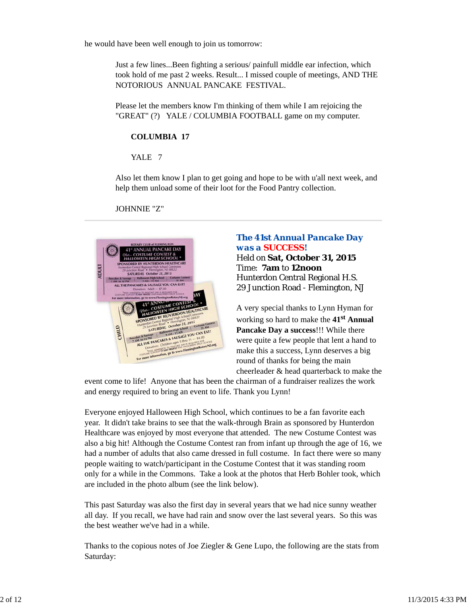he would have been well enough to join us tomorrow:

Just a few lines...Been fighting a serious/ painfull middle ear infection, which took hold of me past 2 weeks. Result... I missed couple of meetings, AND THE NOTORIOUS ANNUAL PANCAKE FESTIVAL.

Please let the members know I'm thinking of them while I am rejoicing the "GREAT" (?) YALE / COLUMBIA FOOTBALL game on my computer.

### **COLUMBIA 17**

YALE<sub>7</sub>

Also let them know I plan to get going and hope to be with u'all next week, and help them unload some of their loot for the Food Pantry collection.

JOHNNIE "Z"



# *The 41st Annual Pancake Day was a SUCCESS!*

Held on **Sat, October 31, 2015** Time: **7am** to **12noon** Hunterdon Central Regional H.S. 29 Junction Road - Flemington, NJ

A very special thanks to Lynn Hyman for working so hard to make the **41st Annual Pancake Day a success**!!! While there were quite a few people that lent a hand to make this a success, Lynn deserves a big round of thanks for being the main cheerleader & head quarterback to make the

event come to life! Anyone that has been the chairman of a fundraiser realizes the work and energy required to bring an event to life. Thank you Lynn!

Everyone enjoyed Halloween High School, which continues to be a fan favorite each year. It didn't take brains to see that the walk-through Brain as sponsored by Hunterdon Healthcare was enjoyed by most everyone that attended. The new Costume Contest was also a big hit! Although the Costume Contest ran from infant up through the age of 16, we had a number of adults that also came dressed in full costume. In fact there were so many people waiting to watch/participant in the Costume Contest that it was standing room only for a while in the Commons. Take a look at the photos that Herb Bohler took, which are included in the photo album (see the link below).

This past Saturday was also the first day in several years that we had nice sunny weather all day. If you recall, we have had rain and snow over the last several years. So this was the best weather we've had in a while.

Thanks to the copious notes of Joe Ziegler  $\&$  Gene Lupo, the following are the stats from Saturday: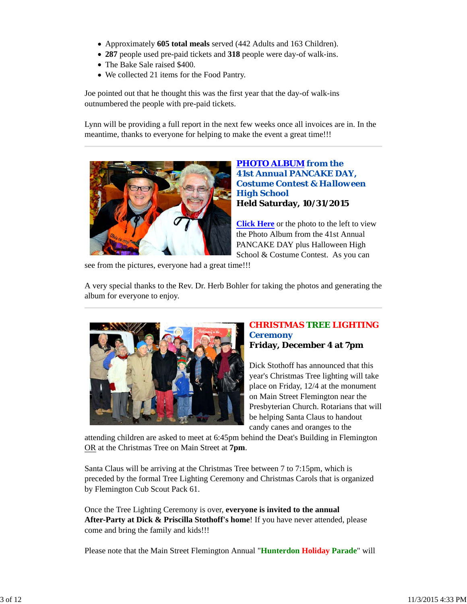- Approximately **605 total meals** served (442 Adults and 163 Children).
- **287** people used pre-paid tickets and **318** people were day-of walk-ins.
- The Bake Sale raised \$400.
- We collected 21 items for the Food Pantry.

Joe pointed out that he thought this was the first year that the day-of walk-ins outnumbered the people with pre-paid tickets.

Lynn will be providing a full report in the next few weeks once all invoices are in. In the meantime, thanks to everyone for helping to make the event a great time!!!



*PHOTO ALBUM from the 41st Annual PANCAKE DAY, Costume Contest & Halloween High School* **Held Saturday, 10/31/2015**

**Click Here** or the photo to the left to view the Photo Album from the 41st Annual PANCAKE DAY plus Halloween High School & Costume Contest. As you can

see from the pictures, everyone had a great time!!!

A very special thanks to the Rev. Dr. Herb Bohler for taking the photos and generating the album for everyone to enjoy.



#### *CHRISTMAS TREE LIGHTING Ceremony* **Friday, December 4 at 7pm**

Dick Stothoff has announced that this year's Christmas Tree lighting will take place on Friday, 12/4 at the monument on Main Street Flemington near the Presbyterian Church. Rotarians that will be helping Santa Claus to handout candy canes and oranges to the

attending children are asked to meet at 6:45pm behind the Deat's Building in Flemington OR at the Christmas Tree on Main Street at **7pm**.

Santa Claus will be arriving at the Christmas Tree between 7 to 7:15pm, which is preceded by the formal Tree Lighting Ceremony and Christmas Carols that is organized by Flemington Cub Scout Pack 61.

Once the Tree Lighting Ceremony is over, **everyone is invited to the annual After-Party at Dick & Priscilla Stothoff's home**! If you have never attended, please come and bring the family and kids!!!

Please note that the Main Street Flemington Annual "**Hunterdon Holiday Parade**" will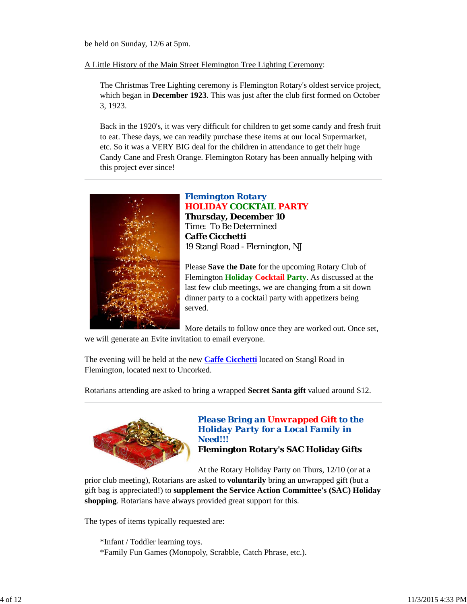be held on Sunday, 12/6 at 5pm.

A Little History of the Main Street Flemington Tree Lighting Ceremony:

The Christmas Tree Lighting ceremony is Flemington Rotary's oldest service project, which began in **December 1923**. This was just after the club first formed on October 3, 1923.

Back in the 1920's, it was very difficult for children to get some candy and fresh fruit to eat. These days, we can readily purchase these items at our local Supermarket, etc. So it was a VERY BIG deal for the children in attendance to get their huge Candy Cane and Fresh Orange. Flemington Rotary has been annually helping with this project ever since!



# *Flemington Rotary* **HOLIDAY COCKTAIL PARTY**

**Thursday, December 10** Time: To Be Determined **Caffe Cicchetti** 19 Stangl Road - Flemington, NJ

Please **Save the Date** for the upcoming Rotary Club of Flemington **Holiday Cocktail Party**. As discussed at the last few club meetings, we are changing from a sit down dinner party to a cocktail party with appetizers being served.

More details to follow once they are worked out. Once set,

we will generate an Evite invitation to email everyone.

The evening will be held at the new **Caffe Cicchetti** located on Stangl Road in Flemington, located next to Uncorked.

Rotarians attending are asked to bring a wrapped **Secret Santa gift** valued around \$12.



# *Please Bring an Unwrapped Gift to the Holiday Party for a Local Family in Need!!!*

**Flemington Rotary's SAC Holiday Gifts**

At the Rotary Holiday Party on Thurs, 12/10 (or at a

prior club meeting), Rotarians are asked to **voluntarily** bring an unwrapped gift (but a gift bag is appreciated!) to **supplement the Service Action Committee's (SAC) Holiday shopping**. Rotarians have always provided great support for this.

The types of items typically requested are:

\*Infant / Toddler learning toys. \*Family Fun Games (Monopoly, Scrabble, Catch Phrase, etc.).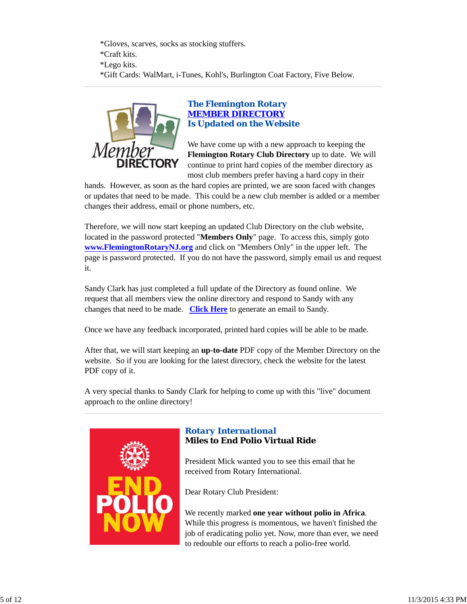\*Gloves, scarves, socks as stocking stuffers. \*Craft kits. \*Lego kits. \*Gift Cards: WalMart, i-Tunes, Kohl's, Burlington Coat Factory, Five Below.



# *The Flemington Rotary MEMBER DIRECTORY Is Updated on the Website*

We have come up with a new approach to keeping the **Flemington Rotary Club Directory** up to date. We will continue to print hard copies of the member directory as most club members prefer having a hard copy in their

hands. However, as soon as the hard copies are printed, we are soon faced with changes or updates that need to be made. This could be a new club member is added or a member changes their address, email or phone numbers, etc.

Therefore, we will now start keeping an updated Club Directory on the club website, located in the password protected "**Members Only**" page. To access this, simply goto **www.FlemingtonRotaryNJ.org** and click on "Members Only" in the upper left. The page is password protected. If you do not have the password, simply email us and request it.

Sandy Clark has just completed a full update of the Directory as found online. We request that all members view the online directory and respond to Sandy with any changes that need to be made. **Click Here** to generate an email to Sandy.

Once we have any feedback incorporated, printed hard copies will be able to be made.

After that, we will start keeping an **up-to-date** PDF copy of the Member Directory on the website. So if you are looking for the latest directory, check the website for the latest PDF copy of it.

A very special thanks to Sandy Clark for helping to come up with this "live" document approach to the online directory!



# *Rotary International* **Miles to End Polio Virtual Ride**

President Mick wanted you to see this email that he received from Rotary International.

Dear Rotary Club President:

We recently marked **one year without polio in Africa**. While this progress is momentous, we haven't finished the job of eradicating polio yet. Now, more than ever, we need to redouble our efforts to reach a polio-free world.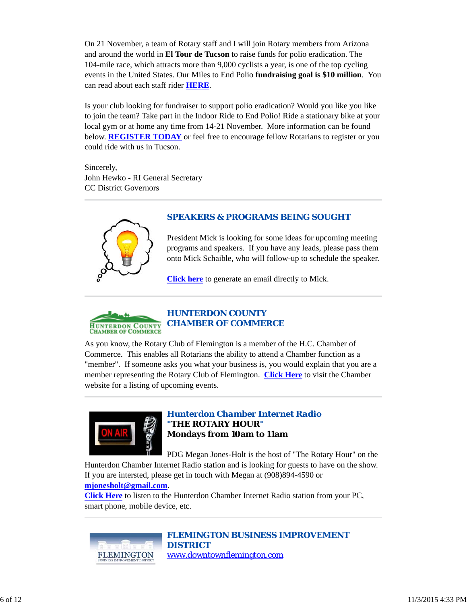On 21 November, a team of Rotary staff and I will join Rotary members from Arizona and around the world in **El Tour de Tucson** to raise funds for polio eradication. The 104-mile race, which attracts more than 9,000 cyclists a year, is one of the top cycling events in the United States. Our Miles to End Polio **fundraising goal is \$10 million**. You can read about each staff rider **HERE**.

Is your club looking for fundraiser to support polio eradication? Would you like you like to join the team? Take part in the Indoor Ride to End Polio! Ride a stationary bike at your local gym or at home any time from 14-21 November. More information can be found below. **REGISTER TODAY** or feel free to encourage fellow Rotarians to register or you could ride with us in Tucson.

Sincerely, John Hewko - RI General Secretary CC District Governors



# *SPEAKERS & PROGRAMS BEING SOUGHT*

President Mick is looking for some ideas for upcoming meeting programs and speakers. If you have any leads, please pass them onto Mick Schaible, who will follow-up to schedule the speaker.

**Click here** to generate an email directly to Mick.



As you know, the Rotary Club of Flemington is a member of the H.C. Chamber of Commerce. This enables all Rotarians the ability to attend a Chamber function as a "member". If someone asks you what your business is, you would explain that you are a member representing the Rotary Club of Flemington. **Click Here** to visit the Chamber website for a listing of upcoming events.



# *Hunterdon Chamber Internet Radio "THE ROTARY HOUR"* **Mondays from 10am to 11am**

PDG Megan Jones-Holt is the host of "The Rotary Hour" on the Hunterdon Chamber Internet Radio station and is looking for guests to have on the show.

If you are intersted, please get in touch with Megan at (908)894-4590 or **mjonesholt@gmail.com**.

**Click Here** to listen to the Hunterdon Chamber Internet Radio station from your PC, smart phone, mobile device, etc.



*FLEMINGTON BUSINESS IMPROVEMENT DISTRICT*

www.downtownflemington.com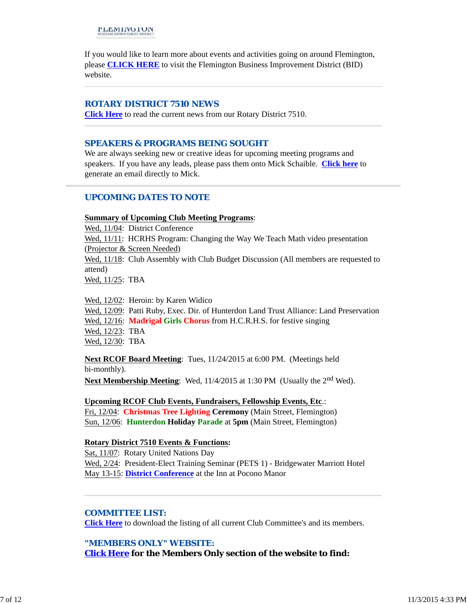If you would like to learn more about events and activities going on around Flemington, please **CLICK HERE** to visit the Flemington Business Improvement District (BID) website.

### *ROTARY DISTRICT 7510 NEWS*

**Click Here** to read the current news from our Rotary District 7510.

#### *SPEAKERS & PROGRAMS BEING SOUGHT*

We are always seeking new or creative ideas for upcoming meeting programs and speakers. If you have any leads, please pass them onto Mick Schaible. **Click here** to generate an email directly to Mick.

## *UPCOMING DATES TO NOTE*

#### **Summary of Upcoming Club Meeting Programs**:

Wed, 11/04: District Conference Wed, 11/11: HCRHS Program: Changing the Way We Teach Math video presentation (Projector & Screen Needed) Wed,  $11/18$ : Club Assembly with Club Budget Discussion (All members are requested to attend)

Wed, 11/25: TBA

Wed, 12/02: Heroin: by Karen Widico Wed, 12/09: Patti Ruby, Exec. Dir. of Hunterdon Land Trust Alliance: Land Preservation Wed, 12/16: **Madrigal Girls Chorus** from H.C.R.H.S. for festive singing Wed, 12/23: TBA Wed, 12/30: TBA

**Next RCOF Board Meeting**: Tues, 11/24/2015 at 6:00 PM. (Meetings held bi-monthly).

**Next Membership Meeting**: Wed, 11/4/2015 at 1:30 PM (Usually the 2<sup>nd</sup> Wed).

**Upcoming RCOF Club Events, Fundraisers, Fellowship Events, Etc**.: Fri, 12/04: **Christmas Tree Lighting Ceremony** (Main Street, Flemington) Sun, 12/06: **Hunterdon Holiday Parade** at **5pm** (Main Street, Flemington)

#### **Rotary District 7510 Events & Functions:**

Sat, 11/07: Rotary United Nations Day Wed, 2/24: President-Elect Training Seminar (PETS 1) - Bridgewater Marriott Hotel May 13-15: **District Conference** at the Inn at Pocono Manor

#### *COMMITTEE LIST:*

**Click Here** to download the listing of all current Club Committee's and its members.

*"MEMBERS ONLY" WEBSITE:*

**Click Here for the Members Only section of the website to find:**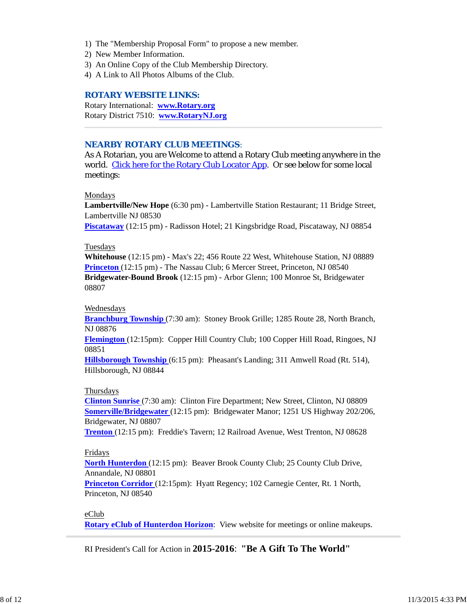- 1) The "Membership Proposal Form" to propose a new member.
- 2) New Member Information.
- 3) An Online Copy of the Club Membership Directory.
- 4) A Link to All Photos Albums of the Club.

#### *ROTARY WEBSITE LINKS:*

Rotary International: **www.Rotary.org** Rotary District 7510: **www.RotaryNJ.org**

### *NEARBY ROTARY CLUB MEETINGS:*

As A Rotarian, you are Welcome to attend a Rotary Club meeting anywhere in the world. Click here for the Rotary Club Locator App. Or see below for some local meetings:

#### Mondays

**Lambertville/New Hope** (6:30 pm) - Lambertville Station Restaurant; 11 Bridge Street, Lambertville NJ 08530

**Piscataway** (12:15 pm) - Radisson Hotel; 21 Kingsbridge Road, Piscataway, NJ 08854

#### Tuesdays

**Whitehouse** (12:15 pm) - Max's 22; 456 Route 22 West, Whitehouse Station, NJ 08889 **Princeton** (12:15 pm) - The Nassau Club; 6 Mercer Street, Princeton, NJ 08540 **Bridgewater-Bound Brook** (12:15 pm) - Arbor Glenn; 100 Monroe St, Bridgewater 08807

#### Wednesdays

**Branchburg Township** (7:30 am): Stoney Brook Grille; 1285 Route 28, North Branch, NJ 08876

**Flemington** (12:15pm): Copper Hill Country Club; 100 Copper Hill Road, Ringoes, NJ 08851

**Hillsborough Township** (6:15 pm): Pheasant's Landing; 311 Amwell Road (Rt. 514), Hillsborough, NJ 08844

#### Thursdays

**Clinton Sunrise** (7:30 am): Clinton Fire Department; New Street, Clinton, NJ 08809 **Somerville/Bridgewater** (12:15 pm): Bridgewater Manor; 1251 US Highway 202/206, Bridgewater, NJ 08807

**Trenton** (12:15 pm): Freddie's Tavern; 12 Railroad Avenue, West Trenton, NJ 08628

#### Fridays

**North Hunterdon** (12:15 pm): Beaver Brook County Club; 25 County Club Drive, Annandale, NJ 08801

**Princeton Corridor** (12:15pm): Hyatt Regency; 102 Carnegie Center, Rt. 1 North, Princeton, NJ 08540

#### eClub

**Rotary eClub of Hunterdon Horizon**: View website for meetings or online makeups.

RI President's Call for Action in **2015-2016**: **"Be A Gift To The World"**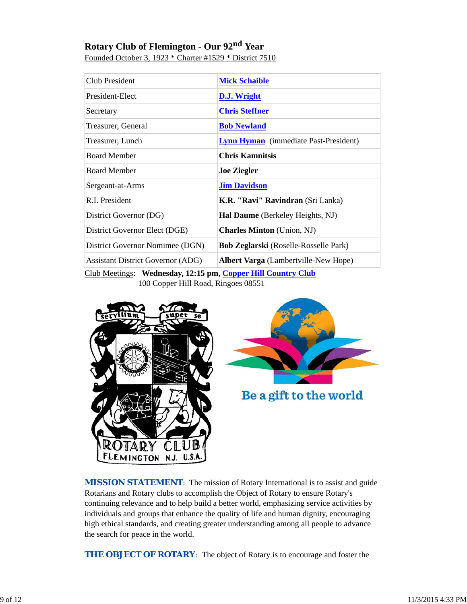# **Rotary Club of Flemington - Our 92nd Year**

| Club President                                             | <b>Mick Schaible</b>                         |  |
|------------------------------------------------------------|----------------------------------------------|--|
| President-Elect                                            | D.J. Wright                                  |  |
| Secretary                                                  | <b>Chris Steffner</b>                        |  |
| Treasurer, General                                         | <b>Bob Newland</b>                           |  |
| Treasurer, Lunch                                           | <b>Lynn Hyman</b> (immediate Past-President) |  |
| <b>Board Member</b>                                        | <b>Chris Kamnitsis</b>                       |  |
| <b>Board Member</b>                                        | <b>Joe Ziegler</b>                           |  |
| Sergeant-at-Arms                                           | <b>Jim Davidson</b>                          |  |
| R.I. President                                             | K.R. "Ravi" Ravindran (Sri Lanka)            |  |
| District Governor (DG)                                     | Hal Daume (Berkeley Heights, NJ)             |  |
| District Governor Elect (DGE)                              | <b>Charles Minton</b> (Union, NJ)            |  |
| District Governor Nomimee (DGN)                            | Bob Zeglarski (Roselle-Rosselle Park)        |  |
| <b>Assistant District Governor (ADG)</b>                   | <b>Albert Varga</b> (Lambertville-New Hope)  |  |
| Club Meetings: Wednesday 12:15 pm Conper Hill Country Club |                                              |  |

Founded October 3, 1923 \* Charter #1529 \* District 7510

dnesday, 12:15 pm, <u>Copper Hill Country Club</u> 100 Copper Hill Road, Ringoes 08551





Be a gift to the world

**MISSION STATEMENT:** The mission of Rotary International is to assist and guide Rotarians and Rotary clubs to accomplish the Object of Rotary to ensure Rotary's continuing relevance and to help build a better world, emphasizing service activities by individuals and groups that enhance the quality of life and human dignity, encouraging high ethical standards, and creating greater understanding among all people to advance the search for peace in the world.

*THE OBJECT OF ROTARY*: The object of Rotary is to encourage and foster the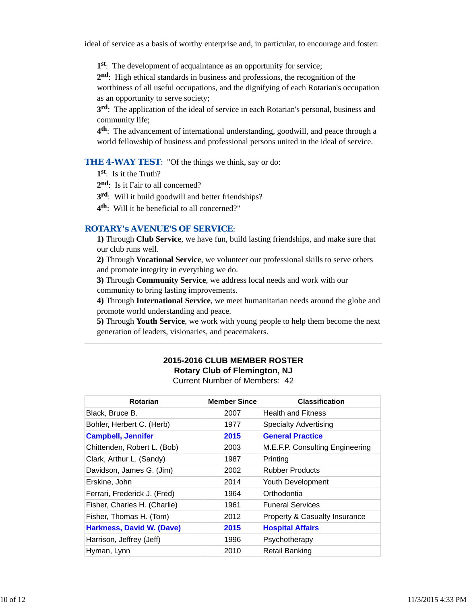ideal of service as a basis of worthy enterprise and, in particular, to encourage and foster:

**1st**: The development of acquaintance as an opportunity for service;

**2nd**: High ethical standards in business and professions, the recognition of the worthiness of all useful occupations, and the dignifying of each Rotarian's occupation as an opportunity to serve society;

**3rd**: The application of the ideal of service in each Rotarian's personal, business and community life;

**4th**: The advancement of international understanding, goodwill, and peace through a world fellowship of business and professional persons united in the ideal of service.

**THE 4-WAY TEST:** "Of the things we think, say or do:

**1st**: Is it the Truth?

2<sup>nd</sup>: Is it Fair to all concerned?

**3rd**: Will it build goodwill and better friendships?

**4th**: Will it be beneficial to all concerned?"

### *ROTARY's AVENUE'S OF SERVICE*:

**1)** Through **Club Service**, we have fun, build lasting friendships, and make sure that our club runs well.

**2)** Through **Vocational Service**, we volunteer our professional skills to serve others and promote integrity in everything we do.

**3)** Through **Community Service**, we address local needs and work with our community to bring lasting improvements.

**4)** Through **International Service**, we meet humanitarian needs around the globe and promote world understanding and peace.

**5)** Through **Youth Service**, we work with young people to help them become the next generation of leaders, visionaries, and peacemakers.

# **2015-2016 CLUB MEMBER ROSTER Rotary Club of Flemington, NJ**

Current Number of Members: 42

| <b>Rotarian</b>                  | <b>Member Since</b> | <b>Classification</b>           |
|----------------------------------|---------------------|---------------------------------|
| Black, Bruce B.                  | 2007                | <b>Health and Fitness</b>       |
| Bohler, Herbert C. (Herb)        | 1977                | <b>Specialty Advertising</b>    |
| <b>Campbell, Jennifer</b>        | 2015                | <b>General Practice</b>         |
| Chittenden, Robert L. (Bob)      | 2003                | M.E.F.P. Consulting Engineering |
| Clark, Arthur L. (Sandy)         | 1987                | Printing                        |
| Davidson, James G. (Jim)         | 2002                | <b>Rubber Products</b>          |
| Erskine, John                    | 2014                | Youth Development               |
| Ferrari, Frederick J. (Fred)     | 1964                | Orthodontia                     |
| Fisher, Charles H. (Charlie)     | 1961                | <b>Funeral Services</b>         |
| Fisher, Thomas H. (Tom)          | 2012                | Property & Casualty Insurance   |
| <b>Harkness, David W. (Dave)</b> | 2015                | <b>Hospital Affairs</b>         |
| Harrison, Jeffrey (Jeff)         | 1996                | Psychotherapy                   |
| Hyman, Lynn                      | 2010                | Retail Banking                  |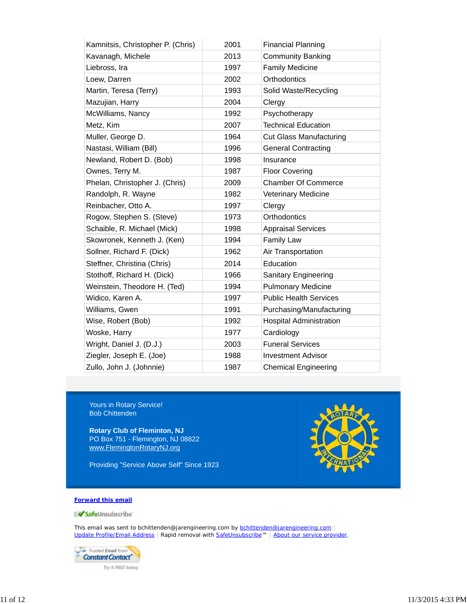| Kamnitsis, Christopher P. (Chris) | 2001 | <b>Financial Planning</b>      |
|-----------------------------------|------|--------------------------------|
| Kavanagh, Michele                 | 2013 | <b>Community Banking</b>       |
| Liebross, Ira                     | 1997 | <b>Family Medicine</b>         |
| Loew, Darren                      | 2002 | Orthodontics                   |
| Martin, Teresa (Terry)            | 1993 | Solid Waste/Recycling          |
| Mazujian, Harry                   | 2004 | Clergy                         |
| McWilliams, Nancy                 | 1992 | Psychotherapy                  |
| Metz, Kim                         | 2007 | <b>Technical Education</b>     |
| Muller, George D.                 | 1964 | <b>Cut Glass Manufacturing</b> |
| Nastasi, William (Bill)           | 1996 | <b>General Contracting</b>     |
| Newland, Robert D. (Bob)          | 1998 | Insurance                      |
| Ownes, Terry M.                   | 1987 | <b>Floor Covering</b>          |
| Phelan, Christopher J. (Chris)    | 2009 | <b>Chamber Of Commerce</b>     |
| Randolph, R. Wayne                | 1982 | Veterinary Medicine            |
| Reinbacher, Otto A.               | 1997 | Clergy                         |
| Rogow, Stephen S. (Steve)         | 1973 | Orthodontics                   |
| Schaible, R. Michael (Mick)       | 1998 | <b>Appraisal Services</b>      |
| Skowronek, Kenneth J. (Ken)       | 1994 | <b>Family Law</b>              |
| Sollner, Richard F. (Dick)        | 1962 | Air Transportation             |
| Steffner, Christina (Chris)       | 2014 | Education                      |
| Stothoff, Richard H. (Dick)       | 1966 | <b>Sanitary Engineering</b>    |
| Weinstein, Theodore H. (Ted)      | 1994 | <b>Pulmonary Medicine</b>      |
| Widico, Karen A.                  | 1997 | <b>Public Health Services</b>  |
| Williams, Gwen                    | 1991 | Purchasing/Manufacturing       |
| Wise, Robert (Bob)                | 1992 | <b>Hospital Administration</b> |
| Woske, Harry                      | 1977 | Cardiology                     |
| Wright, Daniel J. (D.J.)          | 2003 | <b>Funeral Services</b>        |
| Ziegler, Joseph E. (Joe)          | 1988 | <b>Investment Advisor</b>      |
| Zullo, John J. (Johnnie)          | 1987 | <b>Chemical Engineering</b>    |

Yours in Rotary Service! Bob Chittenden

**Rotary Club of Fleminton, NJ** PO Box 751 - Flemington, NJ 08822 www.FlemingtonRotaryNJ.org

Providing "Service Above Self" Since 1923



#### **Forward this email**

SafeUnsubscribe

This email was sent to bchittenden@jarengineering.com by bchittenden@jarengineering.com | Update Profile/Email Address | Rapid removal with SafeUnsubscribe™ | About our service provider.